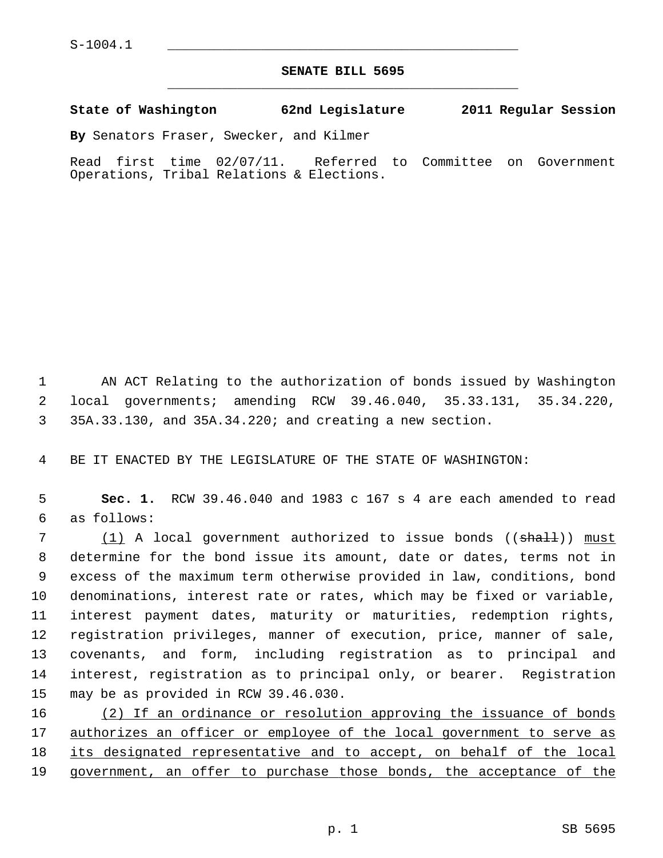## **SENATE BILL 5695** \_\_\_\_\_\_\_\_\_\_\_\_\_\_\_\_\_\_\_\_\_\_\_\_\_\_\_\_\_\_\_\_\_\_\_\_\_\_\_\_\_\_\_\_\_

## **State of Washington 62nd Legislature 2011 Regular Session**

**By** Senators Fraser, Swecker, and Kilmer

Read first time 02/07/11. Referred to Committee on Government Operations, Tribal Relations & Elections.

 1 AN ACT Relating to the authorization of bonds issued by Washington 2 local governments; amending RCW 39.46.040, 35.33.131, 35.34.220, 3 35A.33.130, and 35A.34.220; and creating a new section.

4 BE IT ENACTED BY THE LEGISLATURE OF THE STATE OF WASHINGTON:

 5 **Sec. 1.** RCW 39.46.040 and 1983 c 167 s 4 are each amended to read 6 as follows:

7 (1) A local government authorized to issue bonds (( $\frac{1}{n}$ ) must 8 determine for the bond issue its amount, date or dates, terms not in 9 excess of the maximum term otherwise provided in law, conditions, bond 10 denominations, interest rate or rates, which may be fixed or variable, 11 interest payment dates, maturity or maturities, redemption rights, 12 registration privileges, manner of execution, price, manner of sale, 13 covenants, and form, including registration as to principal and 14 interest, registration as to principal only, or bearer. Registration 15 may be as provided in RCW 39.46.030.

16 (2) If an ordinance or resolution approving the issuance of bonds 17 authorizes an officer or employee of the local government to serve as 18 its designated representative and to accept, on behalf of the local 19 government, an offer to purchase those bonds, the acceptance of the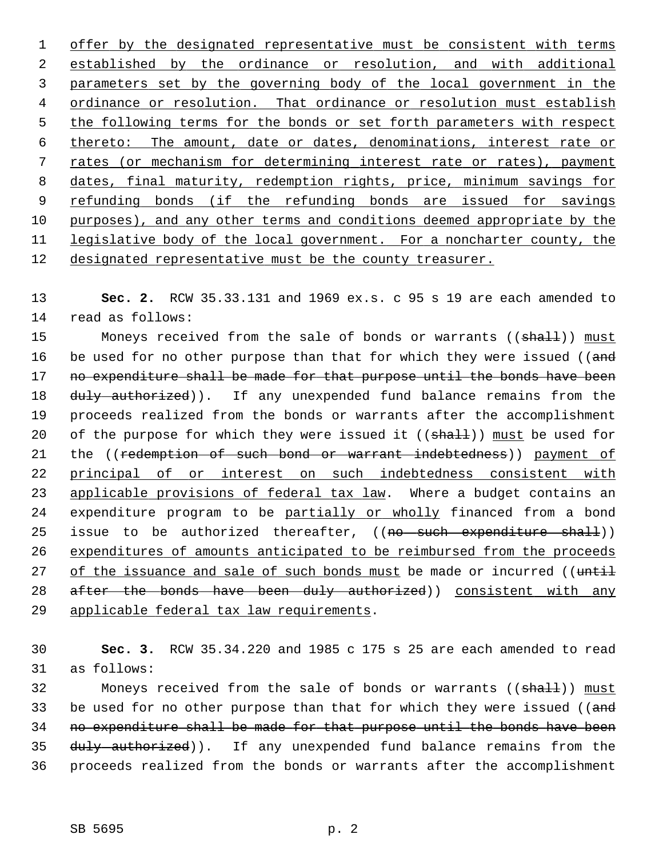offer by the designated representative must be consistent with terms established by the ordinance or resolution, and with additional parameters set by the governing body of the local government in the ordinance or resolution. That ordinance or resolution must establish the following terms for the bonds or set forth parameters with respect thereto: The amount, date or dates, denominations, interest rate or rates (or mechanism for determining interest rate or rates), payment dates, final maturity, redemption rights, price, minimum savings for refunding bonds (if the refunding bonds are issued for savings purposes), and any other terms and conditions deemed appropriate by the legislative body of the local government. For a noncharter county, the designated representative must be the county treasurer.

13 **Sec. 2.** RCW 35.33.131 and 1969 ex.s. c 95 s 19 are each amended to 14 read as follows:

15 Moneys received from the sale of bonds or warrants ((shall)) must 16 be used for no other purpose than that for which they were issued ((and 17 no expenditure shall be made for that purpose until the bonds have been 18 duly authorized)). If any unexpended fund balance remains from the 19 proceeds realized from the bonds or warrants after the accomplishment 20 of the purpose for which they were issued it  $((shall))$  must be used for 21 the ((redemption of such bond or warrant indebtedness)) payment of 22 principal of or interest on such indebtedness consistent with 23 applicable provisions of federal tax law. Where a budget contains an 24 expenditure program to be partially or wholly financed from a bond 25 issue to be authorized thereafter, ((no such expenditure shall)) 26 expenditures of amounts anticipated to be reimbursed from the proceeds 27 of the issuance and sale of such bonds must be made or incurred ((until 28 after the bonds have been duly authorized)) consistent with any 29 applicable federal tax law requirements.

30 **Sec. 3.** RCW 35.34.220 and 1985 c 175 s 25 are each amended to read 31 as follows:

32 Moneys received from the sale of bonds or warrants ((shall)) must 33 be used for no other purpose than that for which they were issued ((and 34 no expenditure shall be made for that purpose until the bonds have been 35 duly authorized)). If any unexpended fund balance remains from the 36 proceeds realized from the bonds or warrants after the accomplishment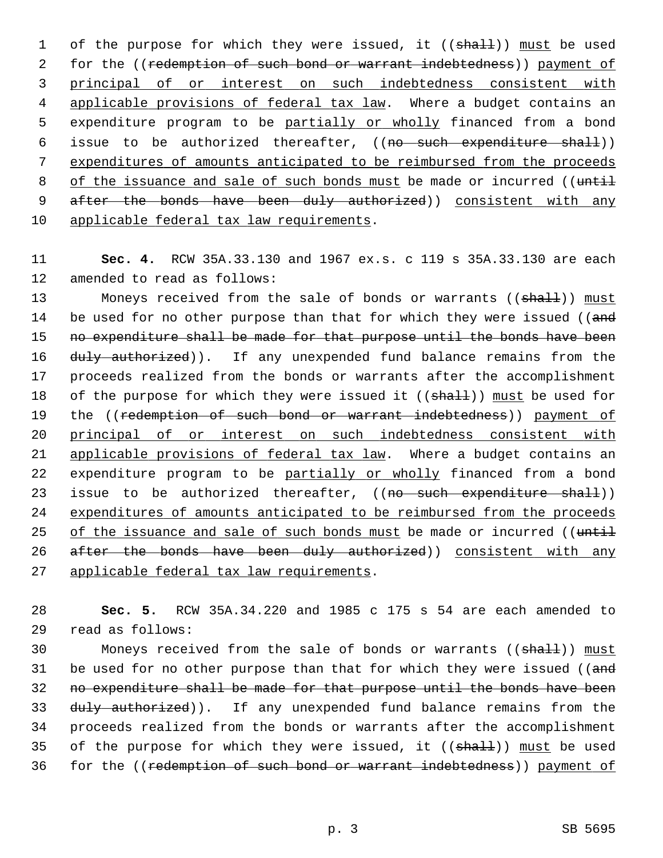1 of the purpose for which they were issued, it ((shall)) must be used 2 for the ((redemption of such bond or warrant indebtedness)) payment of 3 principal of or interest on such indebtedness consistent with 4 applicable provisions of federal tax law. Where a budget contains an 5 expenditure program to be partially or wholly financed from a bond 6 issue to be authorized thereafter, ((no such expenditure shall)) 7 expenditures of amounts anticipated to be reimbursed from the proceeds 8 of the issuance and sale of such bonds must be made or incurred ((until 9 after the bonds have been duly authorized)) consistent with any 10 applicable federal tax law requirements.

11 **Sec. 4.** RCW 35A.33.130 and 1967 ex.s. c 119 s 35A.33.130 are each 12 amended to read as follows:

13 Moneys received from the sale of bonds or warrants ((shall)) must 14 be used for no other purpose than that for which they were issued ((and 15 no expenditure shall be made for that purpose until the bonds have been 16 duly authorized)). If any unexpended fund balance remains from the 17 proceeds realized from the bonds or warrants after the accomplishment 18 of the purpose for which they were issued it  $((shall))$  must be used for 19 the ((redemption of such bond or warrant indebtedness)) payment of 20 principal of or interest on such indebtedness consistent with 21 applicable provisions of federal tax law. Where a budget contains an 22 expenditure program to be partially or wholly financed from a bond 23 issue to be authorized thereafter, ((no such expenditure shall)) 24 expenditures of amounts anticipated to be reimbursed from the proceeds 25 of the issuance and sale of such bonds must be made or incurred ((until 26 after the bonds have been duly authorized)) consistent with any 27 applicable federal tax law requirements.

28 **Sec. 5.** RCW 35A.34.220 and 1985 c 175 s 54 are each amended to 29 read as follows:

30 Moneys received from the sale of bonds or warrants ((shall)) must 31 be used for no other purpose than that for which they were issued (( $\overline{and}$ ) 32 no expenditure shall be made for that purpose until the bonds have been 33 duly authorized)). If any unexpended fund balance remains from the 34 proceeds realized from the bonds or warrants after the accomplishment 35 of the purpose for which they were issued, it  $((shaH))$  must be used 36 for the ((redemption of such bond or warrant indebtedness)) payment of